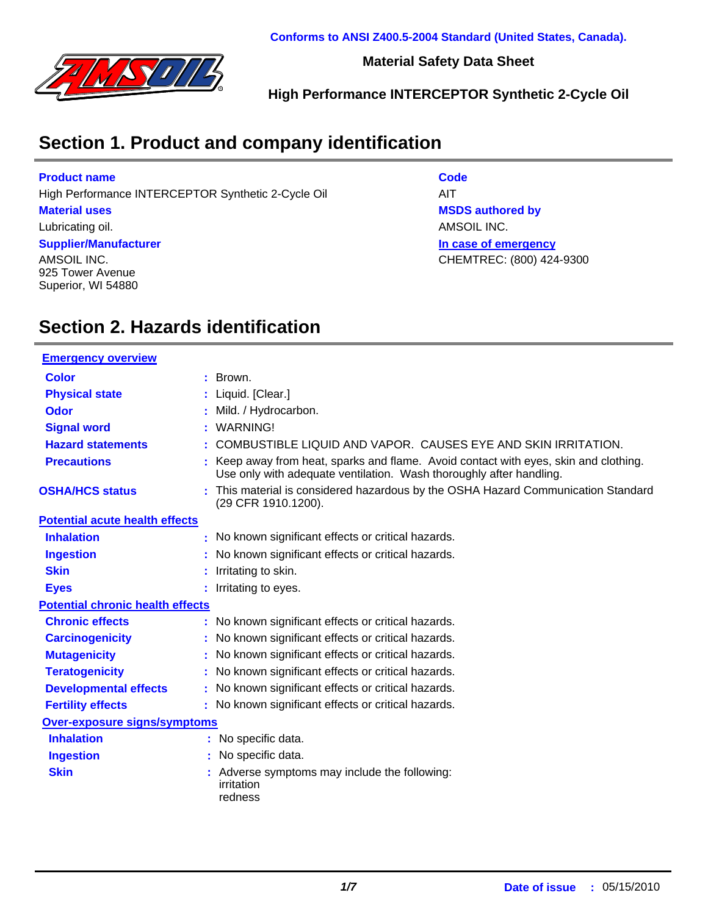

**Material Safety Data Sheet**

**High Performance INTERCEPTOR Synthetic 2-Cycle Oil**

### **Section 1. Product and company identification**

#### **Product name**

High Performance INTERCEPTOR Synthetic 2-Cycle Oil AIT

#### **Material uses**

Lubricating oil.

#### **Supplier/Manufacturer**

AMSOIL INC. 925 Tower Avenue Superior, WI 54880 **Code**

**In case of emergency MSDS authored by** AMSOIL INC. CHEMTREC: (800) 424-9300

### **Section 2. Hazards identification**

| <b>Emergency overview</b>               |                                                                                                                                                           |
|-----------------------------------------|-----------------------------------------------------------------------------------------------------------------------------------------------------------|
| Color                                   | Brown.                                                                                                                                                    |
| <b>Physical state</b>                   | Liquid. [Clear.]                                                                                                                                          |
| Odor                                    | Mild. / Hydrocarbon.                                                                                                                                      |
| <b>Signal word</b>                      | WARNING!                                                                                                                                                  |
| <b>Hazard statements</b>                | COMBUSTIBLE LIQUID AND VAPOR. CAUSES EYE AND SKIN IRRITATION.                                                                                             |
| <b>Precautions</b>                      | Keep away from heat, sparks and flame. Avoid contact with eyes, skin and clothing.<br>Use only with adequate ventilation. Wash thoroughly after handling. |
| <b>OSHA/HCS status</b>                  | : This material is considered hazardous by the OSHA Hazard Communication Standard<br>(29 CFR 1910.1200).                                                  |
| <b>Potential acute health effects</b>   |                                                                                                                                                           |
| <b>Inhalation</b>                       | No known significant effects or critical hazards.                                                                                                         |
| <b>Ingestion</b>                        | No known significant effects or critical hazards.                                                                                                         |
| <b>Skin</b>                             | Irritating to skin.                                                                                                                                       |
| <b>Eyes</b>                             | Irritating to eyes.                                                                                                                                       |
| <b>Potential chronic health effects</b> |                                                                                                                                                           |
| <b>Chronic effects</b>                  | No known significant effects or critical hazards.                                                                                                         |
| <b>Carcinogenicity</b>                  | No known significant effects or critical hazards.                                                                                                         |
| <b>Mutagenicity</b>                     | No known significant effects or critical hazards.                                                                                                         |
| <b>Teratogenicity</b>                   | No known significant effects or critical hazards.                                                                                                         |
| <b>Developmental effects</b>            | No known significant effects or critical hazards.                                                                                                         |
| <b>Fertility effects</b>                | : No known significant effects or critical hazards.                                                                                                       |
| <b>Over-exposure signs/symptoms</b>     |                                                                                                                                                           |
| <b>Inhalation</b>                       | : No specific data.                                                                                                                                       |
| <b>Ingestion</b>                        | No specific data.                                                                                                                                         |
| <b>Skin</b>                             | Adverse symptoms may include the following:<br>irritation<br>redness                                                                                      |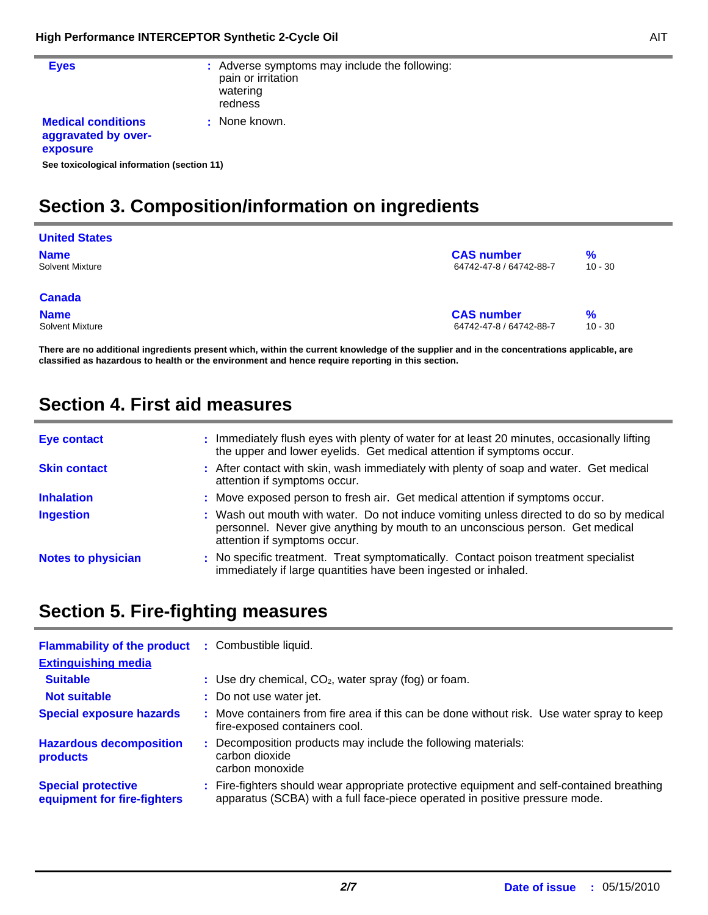÷

| <b>Eyes</b>                                                  | : Adverse symptoms may include the following:<br>pain or irritation<br>watering<br>redness |
|--------------------------------------------------------------|--------------------------------------------------------------------------------------------|
| <b>Medical conditions</b><br>aggravated by over-<br>exposure | : None known.                                                                              |
| See toxicological information (section 11)                   |                                                                                            |

### **Section 3. Composition/information on ingredients**

| <b>United States</b>   |                         |           |
|------------------------|-------------------------|-----------|
| <b>Name</b>            | <b>CAS number</b>       | %         |
| <b>Solvent Mixture</b> | 64742-47-8 / 64742-88-7 | $10 - 30$ |
| <b>Canada</b>          |                         |           |
| <b>Name</b>            | <b>CAS number</b>       | %         |
| <b>Solvent Mixture</b> | 64742-47-8 / 64742-88-7 | $10 - 30$ |

**There are no additional ingredients present which, within the current knowledge of the supplier and in the concentrations applicable, are classified as hazardous to health or the environment and hence require reporting in this section.**

### **Section 4. First aid measures**

| Eye contact               | : Immediately flush eyes with plenty of water for at least 20 minutes, occasionally lifting                                                                                                              |
|---------------------------|----------------------------------------------------------------------------------------------------------------------------------------------------------------------------------------------------------|
|                           | the upper and lower eyelids. Get medical attention if symptoms occur.                                                                                                                                    |
| <b>Skin contact</b>       | : After contact with skin, wash immediately with plenty of soap and water. Get medical<br>attention if symptoms occur.                                                                                   |
| <b>Inhalation</b>         | : Move exposed person to fresh air. Get medical attention if symptoms occur.                                                                                                                             |
| <b>Ingestion</b>          | : Wash out mouth with water. Do not induce vomiting unless directed to do so by medical<br>personnel. Never give anything by mouth to an unconscious person. Get medical<br>attention if symptoms occur. |
| <b>Notes to physician</b> | : No specific treatment. Treat symptomatically. Contact poison treatment specialist<br>immediately if large quantities have been ingested or inhaled.                                                    |

### **Section 5. Fire-fighting measures**

| <b>Flammability of the product</b><br><b>Extinguishing media</b> | : Combustible liquid.                                                                                                                                                    |
|------------------------------------------------------------------|--------------------------------------------------------------------------------------------------------------------------------------------------------------------------|
| <b>Suitable</b>                                                  | : Use dry chemical, $CO2$ , water spray (fog) or foam.                                                                                                                   |
| <b>Not suitable</b>                                              | : Do not use water jet.                                                                                                                                                  |
| <b>Special exposure hazards</b>                                  | : Move containers from fire area if this can be done without risk. Use water spray to keep<br>fire-exposed containers cool.                                              |
| <b>Hazardous decomposition</b><br>products                       | : Decomposition products may include the following materials:<br>carbon dioxide<br>carbon monoxide                                                                       |
| <b>Special protective</b><br>equipment for fire-fighters         | : Fire-fighters should wear appropriate protective equipment and self-contained breathing<br>apparatus (SCBA) with a full face-piece operated in positive pressure mode. |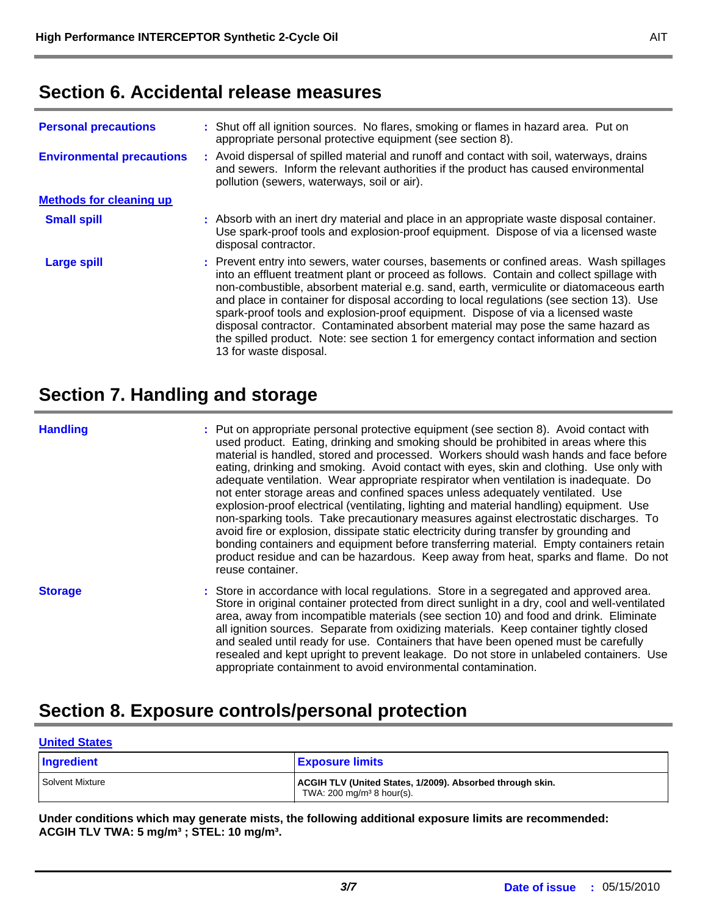### **Section 6. Accidental release measures**

| <b>Personal precautions</b>      | : Shut off all ignition sources. No flares, smoking or flames in hazard area. Put on<br>appropriate personal protective equipment (see section 8).                                                                                                                                                                                                                                                                                                                                                                                                                                                                                                                      |  |  |  |  |  |  |
|----------------------------------|-------------------------------------------------------------------------------------------------------------------------------------------------------------------------------------------------------------------------------------------------------------------------------------------------------------------------------------------------------------------------------------------------------------------------------------------------------------------------------------------------------------------------------------------------------------------------------------------------------------------------------------------------------------------------|--|--|--|--|--|--|
| <b>Environmental precautions</b> | : Avoid dispersal of spilled material and runoff and contact with soil, waterways, drains<br>and sewers. Inform the relevant authorities if the product has caused environmental<br>pollution (sewers, waterways, soil or air).                                                                                                                                                                                                                                                                                                                                                                                                                                         |  |  |  |  |  |  |
| <b>Methods for cleaning up</b>   |                                                                                                                                                                                                                                                                                                                                                                                                                                                                                                                                                                                                                                                                         |  |  |  |  |  |  |
| <b>Small spill</b>               | : Absorb with an inert dry material and place in an appropriate waste disposal container.<br>Use spark-proof tools and explosion-proof equipment. Dispose of via a licensed waste<br>disposal contractor.                                                                                                                                                                                                                                                                                                                                                                                                                                                               |  |  |  |  |  |  |
| <b>Large spill</b>               | : Prevent entry into sewers, water courses, basements or confined areas. Wash spillages<br>into an effluent treatment plant or proceed as follows. Contain and collect spillage with<br>non-combustible, absorbent material e.g. sand, earth, vermiculite or diatomaceous earth<br>and place in container for disposal according to local regulations (see section 13). Use<br>spark-proof tools and explosion-proof equipment. Dispose of via a licensed waste<br>disposal contractor. Contaminated absorbent material may pose the same hazard as<br>the spilled product. Note: see section 1 for emergency contact information and section<br>13 for waste disposal. |  |  |  |  |  |  |

### **Section 7. Handling and storage**

#### **Handling**

Put on appropriate personal protective equipment (see section 8). Avoid contact with **:** used product. Eating, drinking and smoking should be prohibited in areas where this material is handled, stored and processed. Workers should wash hands and face before eating, drinking and smoking. Avoid contact with eyes, skin and clothing. Use only with adequate ventilation. Wear appropriate respirator when ventilation is inadequate. Do not enter storage areas and confined spaces unless adequately ventilated. Use explosion-proof electrical (ventilating, lighting and material handling) equipment. Use non-sparking tools. Take precautionary measures against electrostatic discharges. To avoid fire or explosion, dissipate static electricity during transfer by grounding and bonding containers and equipment before transferring material. Empty containers retain product residue and can be hazardous. Keep away from heat, sparks and flame. Do not reuse container.

Store in accordance with local regulations. Store in a segregated and approved area. **:** Store in original container protected from direct sunlight in a dry, cool and well-ventilated area, away from incompatible materials (see section 10) and food and drink. Eliminate all ignition sources. Separate from oxidizing materials. Keep container tightly closed and sealed until ready for use. Containers that have been opened must be carefully resealed and kept upright to prevent leakage. Do not store in unlabeled containers. Use appropriate containment to avoid environmental contamination. **Storage**

### **Section 8. Exposure controls/personal protection**

| <b>United States</b> |                                                                                                   |  |  |  |  |  |  |
|----------------------|---------------------------------------------------------------------------------------------------|--|--|--|--|--|--|
| Ingredient           | <b>Exposure limits</b>                                                                            |  |  |  |  |  |  |
| Solvent Mixture      | ACGIH TLV (United States, 1/2009). Absorbed through skin.<br>TWA: $200 \text{ mg/m}^3$ 8 hour(s). |  |  |  |  |  |  |

**Under conditions which may generate mists, the following additional exposure limits are recommended: ACGIH TLV TWA: 5 mg/m³ ; STEL: 10 mg/m³.**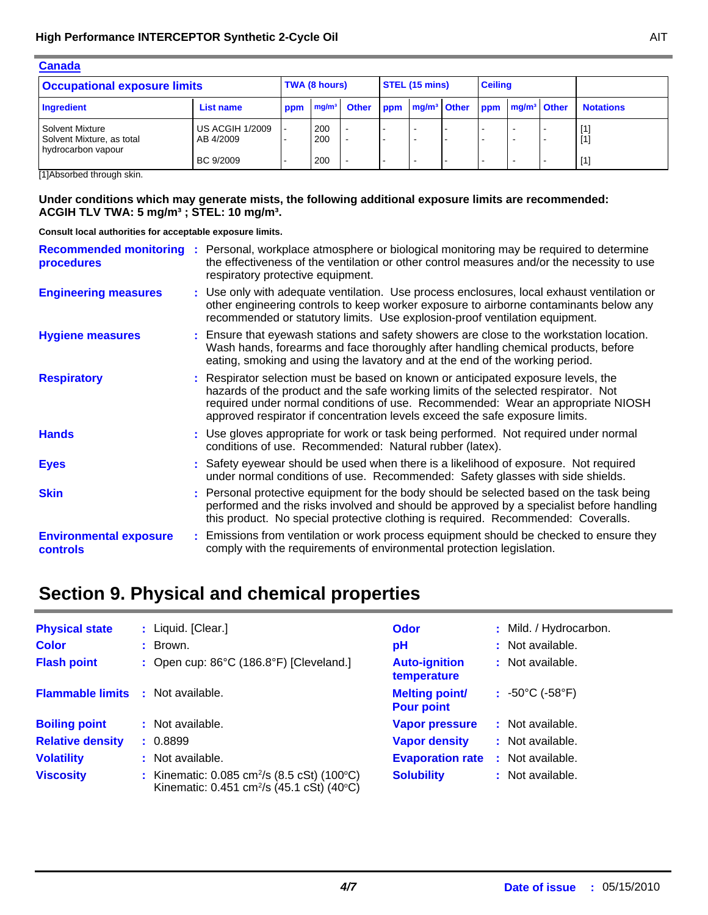| <b>Canada</b>                                                      |                                     |  |               |  |                |                         |  |                |                         |  |                  |
|--------------------------------------------------------------------|-------------------------------------|--|---------------|--|----------------|-------------------------|--|----------------|-------------------------|--|------------------|
| <b>Occupational exposure limits</b>                                |                                     |  | TWA (8 hours) |  | STEL (15 mins) |                         |  | <b>Ceiling</b> |                         |  |                  |
| Ingredient                                                         | <b>List name</b>                    |  |               |  | ppm            | mg/m <sup>3</sup> Other |  | <b>ppm</b>     | mg/m <sup>3</sup> Other |  | <b>Notations</b> |
| Solvent Mixture<br>Solvent Mixture, as total<br>hydrocarbon vapour | <b>US ACGIH 1/2009</b><br>AB 4/2009 |  | 200<br>200    |  |                |                         |  |                | $\sim$                  |  | [1]<br>[1]       |
|                                                                    | BC 9/2009                           |  | 200           |  |                |                         |  |                | $\sim$                  |  | [1]              |

[1]Absorbed through skin.

#### **Under conditions which may generate mists, the following additional exposure limits are recommended: ACGIH TLV TWA: 5 mg/m³ ; STEL: 10 mg/m³.**

**Consult local authorities for acceptable exposure limits.**

| <b>Recommended monitoring</b><br>procedures | : Personal, workplace atmosphere or biological monitoring may be required to determine<br>the effectiveness of the ventilation or other control measures and/or the necessity to use<br>respiratory protective equipment.                                                                                                                  |
|---------------------------------------------|--------------------------------------------------------------------------------------------------------------------------------------------------------------------------------------------------------------------------------------------------------------------------------------------------------------------------------------------|
| <b>Engineering measures</b>                 | : Use only with adequate ventilation. Use process enclosures, local exhaust ventilation or<br>other engineering controls to keep worker exposure to airborne contaminants below any<br>recommended or statutory limits. Use explosion-proof ventilation equipment.                                                                         |
| <b>Hygiene measures</b>                     | : Ensure that eyewash stations and safety showers are close to the workstation location.<br>Wash hands, forearms and face thoroughly after handling chemical products, before<br>eating, smoking and using the lavatory and at the end of the working period.                                                                              |
| <b>Respiratory</b>                          | : Respirator selection must be based on known or anticipated exposure levels, the<br>hazards of the product and the safe working limits of the selected respirator. Not<br>required under normal conditions of use. Recommended: Wear an appropriate NIOSH<br>approved respirator if concentration levels exceed the safe exposure limits. |
| <b>Hands</b>                                | : Use gloves appropriate for work or task being performed. Not required under normal<br>conditions of use. Recommended: Natural rubber (latex).                                                                                                                                                                                            |
| <b>Eyes</b>                                 | : Safety eyewear should be used when there is a likelihood of exposure. Not required<br>under normal conditions of use. Recommended: Safety glasses with side shields.                                                                                                                                                                     |
| <b>Skin</b>                                 | : Personal protective equipment for the body should be selected based on the task being<br>performed and the risks involved and should be approved by a specialist before handling<br>this product. No special protective clothing is required. Recommended: Coveralls.                                                                    |
| <b>Environmental exposure</b><br>controls   | : Emissions from ventilation or work process equipment should be checked to ensure they<br>comply with the requirements of environmental protection legislation.                                                                                                                                                                           |

## **Section 9. Physical and chemical properties**

| <b>Physical state</b>   | : Liquid. [Clear.]                                                                                                            | <b>Odor</b>                                | : Mild. / Hydrocarbon.              |
|-------------------------|-------------------------------------------------------------------------------------------------------------------------------|--------------------------------------------|-------------------------------------|
| <b>Color</b>            | : Brown.                                                                                                                      | pH                                         | : Not available.                    |
| <b>Flash point</b>      | : Open cup: $86^{\circ}$ C (186.8 $^{\circ}$ F) [Cleveland.]                                                                  | <b>Auto-ignition</b><br>temperature        | : Not available.                    |
| <b>Flammable limits</b> | : Not available.                                                                                                              | <b>Melting point/</b><br><b>Pour point</b> | $: 50^{\circ}$ C (-58 $^{\circ}$ F) |
| <b>Boiling point</b>    | : Not available.                                                                                                              | <b>Vapor pressure</b>                      | : Not available.                    |
| <b>Relative density</b> | : 0.8899                                                                                                                      | <b>Vapor density</b>                       | : Not available.                    |
| <b>Volatility</b>       | : Not available.                                                                                                              | <b>Evaporation rate</b>                    | : Not available.                    |
| <b>Viscosity</b>        | : Kinematic: $0.085$ cm <sup>2</sup> /s (8.5 cSt) (100 $^{\circ}$ C)<br>Kinematic: 0.451 cm <sup>2</sup> /s (45.1 cSt) (40°C) | <b>Solubility</b>                          | : Not available.                    |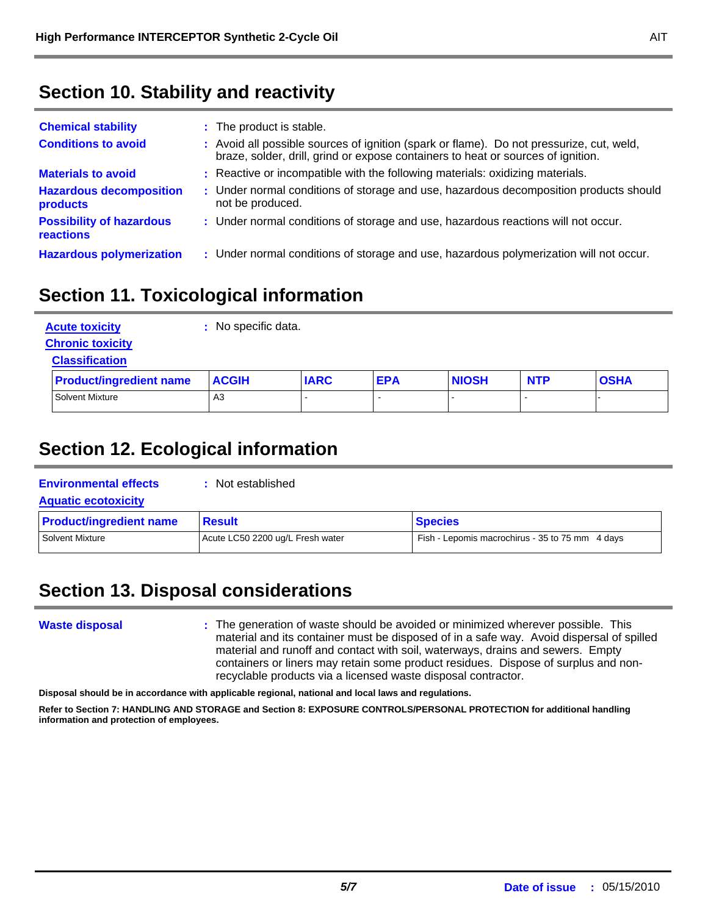### **Section 10. Stability and reactivity**

| <b>Chemical stability</b>                    | : The product is stable.                                                                                                                                                     |
|----------------------------------------------|------------------------------------------------------------------------------------------------------------------------------------------------------------------------------|
| <b>Conditions to avoid</b>                   | : Avoid all possible sources of ignition (spark or flame). Do not pressurize, cut, weld,<br>braze, solder, drill, grind or expose containers to heat or sources of ignition. |
| <b>Materials to avoid</b>                    | : Reactive or incompatible with the following materials: oxidizing materials.                                                                                                |
| <b>Hazardous decomposition</b><br>products   | : Under normal conditions of storage and use, hazardous decomposition products should<br>not be produced.                                                                    |
| <b>Possibility of hazardous</b><br>reactions | : Under normal conditions of storage and use, hazardous reactions will not occur.                                                                                            |
| <b>Hazardous polymerization</b>              | : Under normal conditions of storage and use, hazardous polymerization will not occur.                                                                                       |

### **Section 11. Toxicological information**

| <b>Acute toxicity</b><br><b>Chronic toxicity</b> | No specific data. |             |            |              |            |             |  |  |
|--------------------------------------------------|-------------------|-------------|------------|--------------|------------|-------------|--|--|
| <b>Classification</b>                            |                   |             |            |              |            |             |  |  |
| <b>Product/ingredient name</b>                   | <b>ACGIH</b>      | <b>IARC</b> | <b>EPA</b> | <b>NIOSH</b> | <b>NTP</b> | <b>OSHA</b> |  |  |
| <b>Solvent Mixture</b>                           | A3                |             |            |              |            |             |  |  |

### **Section 12. Ecological information**

| <b>Environmental effects</b><br><b>Aquatic ecotoxicity</b> | : Not established                |                                                 |  |
|------------------------------------------------------------|----------------------------------|-------------------------------------------------|--|
| <b>Product/ingredient name</b>                             | <b>Result</b>                    | <b>Species</b>                                  |  |
| Solvent Mixture                                            | Acute LC50 2200 ug/L Fresh water | Fish - Lepomis macrochirus - 35 to 75 mm 4 days |  |

## **Section 13. Disposal considerations**

### **Waste disposal**

The generation of waste should be avoided or minimized wherever possible. This **:** material and its container must be disposed of in a safe way. Avoid dispersal of spilled material and runoff and contact with soil, waterways, drains and sewers. Empty containers or liners may retain some product residues. Dispose of surplus and nonrecyclable products via a licensed waste disposal contractor.

**Disposal should be in accordance with applicable regional, national and local laws and regulations.**

**Refer to Section 7: HANDLING AND STORAGE and Section 8: EXPOSURE CONTROLS/PERSONAL PROTECTION for additional handling information and protection of employees.**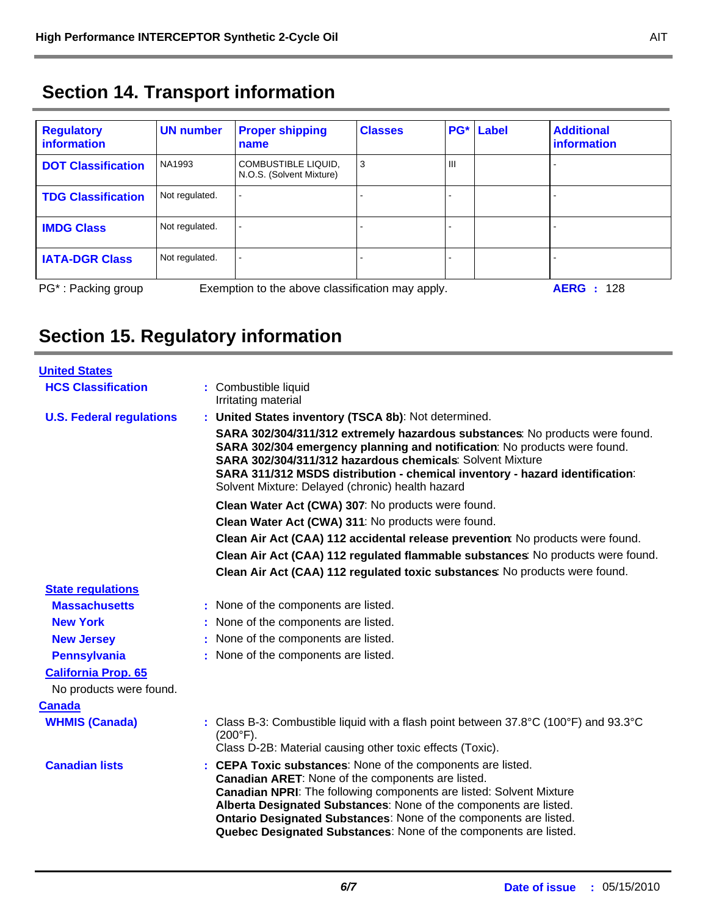|  |  |  | <b>Section 14. Transport information</b> |
|--|--|--|------------------------------------------|
|--|--|--|------------------------------------------|

| <b>Regulatory</b><br>information | UN number      | <b>Proper shipping</b><br>name                   | <b>Classes</b> | PG* | Label | <b>Additional</b><br>information |
|----------------------------------|----------------|--------------------------------------------------|----------------|-----|-------|----------------------------------|
| <b>DOT Classification</b>        | NA1993         | COMBUSTIBLE LIQUID,<br>N.O.S. (Solvent Mixture)  | 3              | Ш   |       |                                  |
| <b>TDG Classification</b>        | Not regulated. |                                                  |                |     |       |                                  |
| <b>IMDG Class</b>                | Not regulated. |                                                  |                |     |       |                                  |
| <b>IATA-DGR Class</b>            | Not regulated. |                                                  |                |     |       |                                  |
| PG <sup>*</sup> : Packing group  |                | Exemption to the above classification may apply. |                |     |       | <b>AERG</b> : 128                |

# **Section 15. Regulatory information**

| <b>United States</b>            |                                                                                                                                                                                                                                                                                                                                                                                                              |
|---------------------------------|--------------------------------------------------------------------------------------------------------------------------------------------------------------------------------------------------------------------------------------------------------------------------------------------------------------------------------------------------------------------------------------------------------------|
| <b>HCS Classification</b>       | : Combustible liquid<br>Irritating material                                                                                                                                                                                                                                                                                                                                                                  |
| <b>U.S. Federal regulations</b> | : United States inventory (TSCA 8b): Not determined.                                                                                                                                                                                                                                                                                                                                                         |
|                                 | SARA 302/304/311/312 extremely hazardous substances: No products were found.<br>SARA 302/304 emergency planning and notification: No products were found.<br>SARA 302/304/311/312 hazardous chemicals: Solvent Mixture<br>SARA 311/312 MSDS distribution - chemical inventory - hazard identification:<br>Solvent Mixture: Delayed (chronic) health hazard                                                   |
|                                 | Clean Water Act (CWA) 307: No products were found.                                                                                                                                                                                                                                                                                                                                                           |
|                                 | Clean Water Act (CWA) 311: No products were found.                                                                                                                                                                                                                                                                                                                                                           |
|                                 | Clean Air Act (CAA) 112 accidental release prevention: No products were found.                                                                                                                                                                                                                                                                                                                               |
|                                 | Clean Air Act (CAA) 112 regulated flammable substances: No products were found.                                                                                                                                                                                                                                                                                                                              |
|                                 | Clean Air Act (CAA) 112 regulated toxic substances: No products were found.                                                                                                                                                                                                                                                                                                                                  |
| <b>State regulations</b>        |                                                                                                                                                                                                                                                                                                                                                                                                              |
| <b>Massachusetts</b>            | : None of the components are listed.                                                                                                                                                                                                                                                                                                                                                                         |
| <b>New York</b>                 | : None of the components are listed.                                                                                                                                                                                                                                                                                                                                                                         |
| <b>New Jersey</b>               | : None of the components are listed.                                                                                                                                                                                                                                                                                                                                                                         |
| <b>Pennsylvania</b>             | : None of the components are listed.                                                                                                                                                                                                                                                                                                                                                                         |
| <b>California Prop. 65</b>      |                                                                                                                                                                                                                                                                                                                                                                                                              |
| No products were found.         |                                                                                                                                                                                                                                                                                                                                                                                                              |
| <b>Canada</b>                   |                                                                                                                                                                                                                                                                                                                                                                                                              |
| <b>WHMIS (Canada)</b>           | : Class B-3: Combustible liquid with a flash point between $37.8^{\circ}$ C (100 $^{\circ}$ F) and 93.3 $^{\circ}$ C<br>$(200^{\circ}F)$ .<br>Class D-2B: Material causing other toxic effects (Toxic).                                                                                                                                                                                                      |
| <b>Canadian lists</b>           | : CEPA Toxic substances: None of the components are listed.<br>Canadian ARET: None of the components are listed.<br><b>Canadian NPRI:</b> The following components are listed: Solvent Mixture<br>Alberta Designated Substances: None of the components are listed.<br>Ontario Designated Substances: None of the components are listed.<br>Quebec Designated Substances: None of the components are listed. |